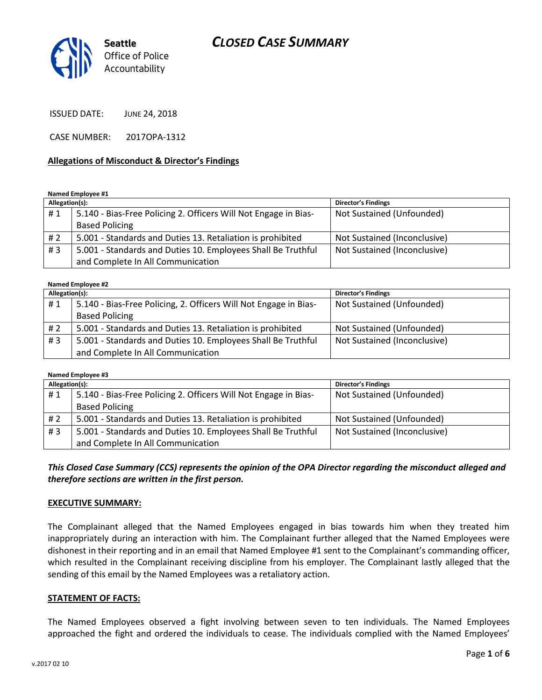

ISSUED DATE: JUNE 24, 2018

CASE NUMBER: 2017OPA-1312

#### **Allegations of Misconduct & Director's Findings**

**Named Employee #1**

| Allegation(s): |                                                                 | Director's Findings          |
|----------------|-----------------------------------------------------------------|------------------------------|
| #1             | 5.140 - Bias-Free Policing 2. Officers Will Not Engage in Bias- | Not Sustained (Unfounded)    |
|                | <b>Based Policing</b>                                           |                              |
| # 2            | 5.001 - Standards and Duties 13. Retaliation is prohibited      | Not Sustained (Inconclusive) |
| #3             | 5.001 - Standards and Duties 10. Employees Shall Be Truthful    | Not Sustained (Inconclusive) |
|                | and Complete In All Communication                               |                              |

#### **Named Employee #2**

| Allegation(s): |                                                                  | <b>Director's Findings</b>   |  |
|----------------|------------------------------------------------------------------|------------------------------|--|
| #1             | 5.140 - Bias-Free Policing, 2. Officers Will Not Engage in Bias- | Not Sustained (Unfounded)    |  |
|                | <b>Based Policing</b>                                            |                              |  |
| # 2            | 5.001 - Standards and Duties 13. Retaliation is prohibited       | Not Sustained (Unfounded)    |  |
| #3             | 5.001 - Standards and Duties 10. Employees Shall Be Truthful     | Not Sustained (Inconclusive) |  |
|                | and Complete In All Communication                                |                              |  |

#### **Named Employee #3**

| Allegation(s): |                                                                 | <b>Director's Findings</b>   |
|----------------|-----------------------------------------------------------------|------------------------------|
| #1             | 5.140 - Bias-Free Policing 2. Officers Will Not Engage in Bias- | Not Sustained (Unfounded)    |
|                | <b>Based Policing</b>                                           |                              |
| #2             | 5.001 - Standards and Duties 13. Retaliation is prohibited      | Not Sustained (Unfounded)    |
| #3             | 5.001 - Standards and Duties 10. Employees Shall Be Truthful    | Not Sustained (Inconclusive) |
|                | and Complete In All Communication                               |                              |

*This Closed Case Summary (CCS) represents the opinion of the OPA Director regarding the misconduct alleged and therefore sections are written in the first person.* 

#### **EXECUTIVE SUMMARY:**

The Complainant alleged that the Named Employees engaged in bias towards him when they treated him inappropriately during an interaction with him. The Complainant further alleged that the Named Employees were dishonest in their reporting and in an email that Named Employee #1 sent to the Complainant's commanding officer, which resulted in the Complainant receiving discipline from his employer. The Complainant lastly alleged that the sending of this email by the Named Employees was a retaliatory action.

#### **STATEMENT OF FACTS:**

The Named Employees observed a fight involving between seven to ten individuals. The Named Employees approached the fight and ordered the individuals to cease. The individuals complied with the Named Employees'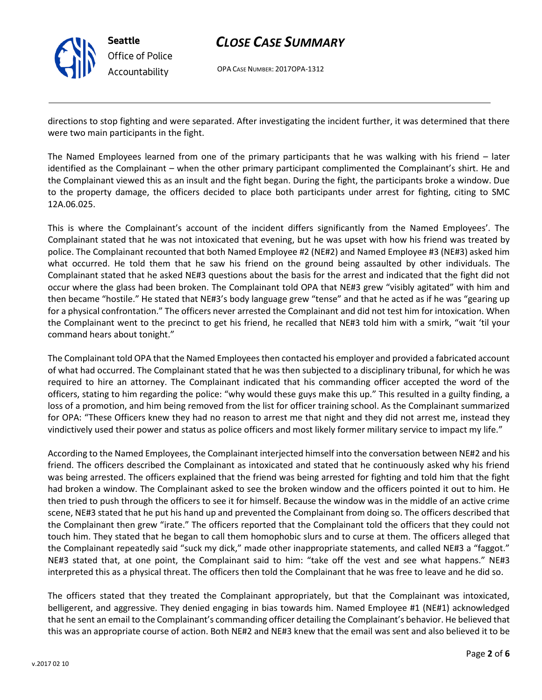

OPA CASE NUMBER: 2017OPA-1312

directions to stop fighting and were separated. After investigating the incident further, it was determined that there were two main participants in the fight.

The Named Employees learned from one of the primary participants that he was walking with his friend – later identified as the Complainant – when the other primary participant complimented the Complainant's shirt. He and the Complainant viewed this as an insult and the fight began. During the fight, the participants broke a window. Due to the property damage, the officers decided to place both participants under arrest for fighting, citing to SMC 12A.06.025.

This is where the Complainant's account of the incident differs significantly from the Named Employees'. The Complainant stated that he was not intoxicated that evening, but he was upset with how his friend was treated by police. The Complainant recounted that both Named Employee #2 (NE#2) and Named Employee #3 (NE#3) asked him what occurred. He told them that he saw his friend on the ground being assaulted by other individuals. The Complainant stated that he asked NE#3 questions about the basis for the arrest and indicated that the fight did not occur where the glass had been broken. The Complainant told OPA that NE#3 grew "visibly agitated" with him and then became "hostile." He stated that NE#3's body language grew "tense" and that he acted as if he was "gearing up for a physical confrontation." The officers never arrested the Complainant and did not test him for intoxication. When the Complainant went to the precinct to get his friend, he recalled that NE#3 told him with a smirk, "wait 'til your command hears about tonight."

The Complainant told OPA that the Named Employees then contacted his employer and provided a fabricated account of what had occurred. The Complainant stated that he was then subjected to a disciplinary tribunal, for which he was required to hire an attorney. The Complainant indicated that his commanding officer accepted the word of the officers, stating to him regarding the police: "why would these guys make this up." This resulted in a guilty finding, a loss of a promotion, and him being removed from the list for officer training school. As the Complainant summarized for OPA: "These Officers knew they had no reason to arrest me that night and they did not arrest me, instead they vindictively used their power and status as police officers and most likely former military service to impact my life."

According to the Named Employees, the Complainant interjected himself into the conversation between NE#2 and his friend. The officers described the Complainant as intoxicated and stated that he continuously asked why his friend was being arrested. The officers explained that the friend was being arrested for fighting and told him that the fight had broken a window. The Complainant asked to see the broken window and the officers pointed it out to him. He then tried to push through the officers to see it for himself. Because the window was in the middle of an active crime scene, NE#3 stated that he put his hand up and prevented the Complainant from doing so. The officers described that the Complainant then grew "irate." The officers reported that the Complainant told the officers that they could not touch him. They stated that he began to call them homophobic slurs and to curse at them. The officers alleged that the Complainant repeatedly said "suck my dick," made other inappropriate statements, and called NE#3 a "faggot." NE#3 stated that, at one point, the Complainant said to him: "take off the vest and see what happens." NE#3 interpreted this as a physical threat. The officers then told the Complainant that he was free to leave and he did so.

The officers stated that they treated the Complainant appropriately, but that the Complainant was intoxicated, belligerent, and aggressive. They denied engaging in bias towards him. Named Employee #1 (NE#1) acknowledged that he sent an email to the Complainant's commanding officer detailing the Complainant's behavior. He believed that this was an appropriate course of action. Both NE#2 and NE#3 knew that the email was sent and also believed it to be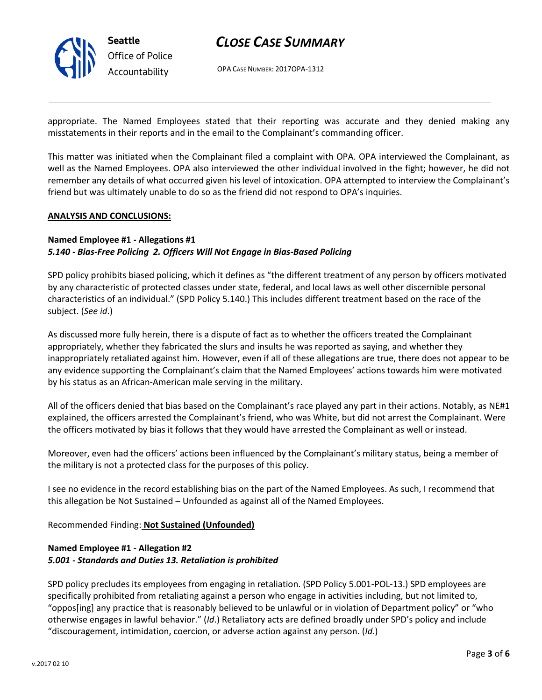

OPA CASE NUMBER: 2017OPA-1312

appropriate. The Named Employees stated that their reporting was accurate and they denied making any misstatements in their reports and in the email to the Complainant's commanding officer.

This matter was initiated when the Complainant filed a complaint with OPA. OPA interviewed the Complainant, as well as the Named Employees. OPA also interviewed the other individual involved in the fight; however, he did not remember any details of what occurred given his level of intoxication. OPA attempted to interview the Complainant's friend but was ultimately unable to do so as the friend did not respond to OPA's inquiries.

#### **ANALYSIS AND CONCLUSIONS:**

#### **Named Employee #1 - Allegations #1**

#### *5.140 - Bias-Free Policing 2. Officers Will Not Engage in Bias-Based Policing*

SPD policy prohibits biased policing, which it defines as "the different treatment of any person by officers motivated by any characteristic of protected classes under state, federal, and local laws as well other discernible personal characteristics of an individual." (SPD Policy 5.140.) This includes different treatment based on the race of the subject. (*See id*.)

As discussed more fully herein, there is a dispute of fact as to whether the officers treated the Complainant appropriately, whether they fabricated the slurs and insults he was reported as saying, and whether they inappropriately retaliated against him. However, even if all of these allegations are true, there does not appear to be any evidence supporting the Complainant's claim that the Named Employees' actions towards him were motivated by his status as an African-American male serving in the military.

All of the officers denied that bias based on the Complainant's race played any part in their actions. Notably, as NE#1 explained, the officers arrested the Complainant's friend, who was White, but did not arrest the Complainant. Were the officers motivated by bias it follows that they would have arrested the Complainant as well or instead.

Moreover, even had the officers' actions been influenced by the Complainant's military status, being a member of the military is not a protected class for the purposes of this policy.

I see no evidence in the record establishing bias on the part of the Named Employees. As such, I recommend that this allegation be Not Sustained – Unfounded as against all of the Named Employees.

#### Recommended Finding: **Not Sustained (Unfounded)**

#### **Named Employee #1 - Allegation #2** *5.001 - Standards and Duties 13. Retaliation is prohibited*

SPD policy precludes its employees from engaging in retaliation. (SPD Policy 5.001-POL-13.) SPD employees are specifically prohibited from retaliating against a person who engage in activities including, but not limited to, "oppos[ing] any practice that is reasonably believed to be unlawful or in violation of Department policy" or "who otherwise engages in lawful behavior." (*Id*.) Retaliatory acts are defined broadly under SPD's policy and include "discouragement, intimidation, coercion, or adverse action against any person. (*Id*.)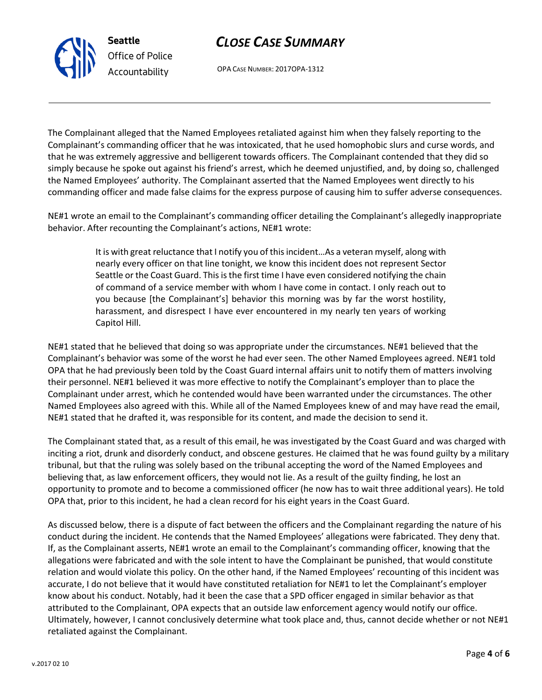OPA CASE NUMBER: 2017OPA-1312

The Complainant alleged that the Named Employees retaliated against him when they falsely reporting to the Complainant's commanding officer that he was intoxicated, that he used homophobic slurs and curse words, and that he was extremely aggressive and belligerent towards officers. The Complainant contended that they did so simply because he spoke out against his friend's arrest, which he deemed unjustified, and, by doing so, challenged the Named Employees' authority. The Complainant asserted that the Named Employees went directly to his commanding officer and made false claims for the express purpose of causing him to suffer adverse consequences.

NE#1 wrote an email to the Complainant's commanding officer detailing the Complainant's allegedly inappropriate behavior. After recounting the Complainant's actions, NE#1 wrote:

> It is with great reluctance that I notify you of this incident…As a veteran myself, along with nearly every officer on that line tonight, we know this incident does not represent Sector Seattle or the Coast Guard. This is the first time I have even considered notifying the chain of command of a service member with whom I have come in contact. I only reach out to you because [the Complainant's] behavior this morning was by far the worst hostility, harassment, and disrespect I have ever encountered in my nearly ten years of working Capitol Hill.

NE#1 stated that he believed that doing so was appropriate under the circumstances. NE#1 believed that the Complainant's behavior was some of the worst he had ever seen. The other Named Employees agreed. NE#1 told OPA that he had previously been told by the Coast Guard internal affairs unit to notify them of matters involving their personnel. NE#1 believed it was more effective to notify the Complainant's employer than to place the Complainant under arrest, which he contended would have been warranted under the circumstances. The other Named Employees also agreed with this. While all of the Named Employees knew of and may have read the email, NE#1 stated that he drafted it, was responsible for its content, and made the decision to send it.

The Complainant stated that, as a result of this email, he was investigated by the Coast Guard and was charged with inciting a riot, drunk and disorderly conduct, and obscene gestures. He claimed that he was found guilty by a military tribunal, but that the ruling was solely based on the tribunal accepting the word of the Named Employees and believing that, as law enforcement officers, they would not lie. As a result of the guilty finding, he lost an opportunity to promote and to become a commissioned officer (he now has to wait three additional years). He told OPA that, prior to this incident, he had a clean record for his eight years in the Coast Guard.

As discussed below, there is a dispute of fact between the officers and the Complainant regarding the nature of his conduct during the incident. He contends that the Named Employees' allegations were fabricated. They deny that. If, as the Complainant asserts, NE#1 wrote an email to the Complainant's commanding officer, knowing that the allegations were fabricated and with the sole intent to have the Complainant be punished, that would constitute relation and would violate this policy. On the other hand, if the Named Employees' recounting of this incident was accurate, I do not believe that it would have constituted retaliation for NE#1 to let the Complainant's employer know about his conduct. Notably, had it been the case that a SPD officer engaged in similar behavior as that attributed to the Complainant, OPA expects that an outside law enforcement agency would notify our office. Ultimately, however, I cannot conclusively determine what took place and, thus, cannot decide whether or not NE#1 retaliated against the Complainant.



**Seattle** *Office of Police Accountability*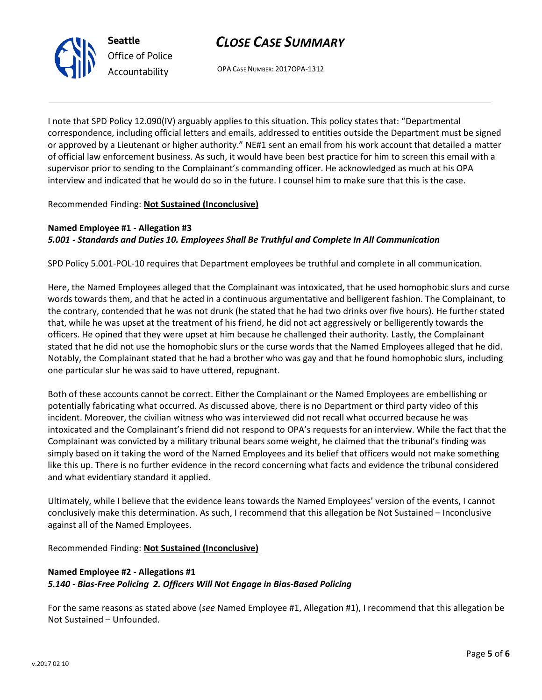



OPA CASE NUMBER: 2017OPA-1312

I note that SPD Policy 12.090(IV) arguably applies to this situation. This policy states that: "Departmental correspondence, including official letters and emails, addressed to entities outside the Department must be signed or approved by a Lieutenant or higher authority." NE#1 sent an email from his work account that detailed a matter of official law enforcement business. As such, it would have been best practice for him to screen this email with a supervisor prior to sending to the Complainant's commanding officer. He acknowledged as much at his OPA interview and indicated that he would do so in the future. I counsel him to make sure that this is the case.

Recommended Finding: **Not Sustained (Inconclusive)**

### **Named Employee #1 - Allegation #3** *5.001 - Standards and Duties 10. Employees Shall Be Truthful and Complete In All Communication*

SPD Policy 5.001-POL-10 requires that Department employees be truthful and complete in all communication.

Here, the Named Employees alleged that the Complainant was intoxicated, that he used homophobic slurs and curse words towards them, and that he acted in a continuous argumentative and belligerent fashion. The Complainant, to the contrary, contended that he was not drunk (he stated that he had two drinks over five hours). He further stated that, while he was upset at the treatment of his friend, he did not act aggressively or belligerently towards the officers. He opined that they were upset at him because he challenged their authority. Lastly, the Complainant stated that he did not use the homophobic slurs or the curse words that the Named Employees alleged that he did. Notably, the Complainant stated that he had a brother who was gay and that he found homophobic slurs, including one particular slur he was said to have uttered, repugnant.

Both of these accounts cannot be correct. Either the Complainant or the Named Employees are embellishing or potentially fabricating what occurred. As discussed above, there is no Department or third party video of this incident. Moreover, the civilian witness who was interviewed did not recall what occurred because he was intoxicated and the Complainant's friend did not respond to OPA's requests for an interview. While the fact that the Complainant was convicted by a military tribunal bears some weight, he claimed that the tribunal's finding was simply based on it taking the word of the Named Employees and its belief that officers would not make something like this up. There is no further evidence in the record concerning what facts and evidence the tribunal considered and what evidentiary standard it applied.

Ultimately, while I believe that the evidence leans towards the Named Employees' version of the events, I cannot conclusively make this determination. As such, I recommend that this allegation be Not Sustained – Inconclusive against all of the Named Employees.

Recommended Finding: **Not Sustained (Inconclusive)**

### **Named Employee #2 - Allegations #1** *5.140 - Bias-Free Policing 2. Officers Will Not Engage in Bias-Based Policing*

For the same reasons as stated above (*see* Named Employee #1, Allegation #1), I recommend that this allegation be Not Sustained – Unfounded.